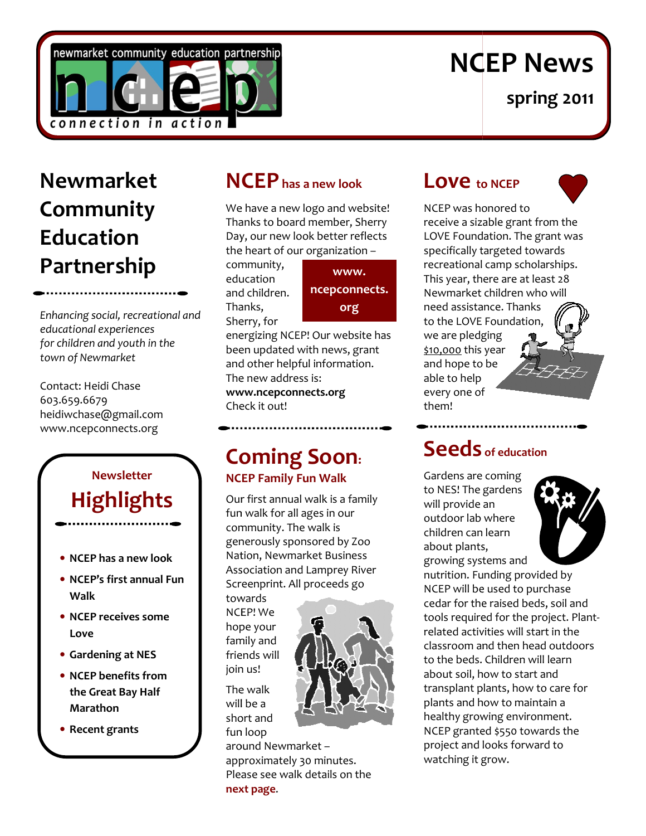

# NCEP News

spring 2011

## Newmarket Community Education Partnership

Enhancing social, recreational and educational experiences for children and youth in the town of Newmarket

Contact: Heidi Chase 603.659.6679 heidiwchase@gmail.com www.ncepconnects.org

## Newsletter **Highlights**

- NCEP has a new look
- NCEP's first annual Fun Walk
- NCEP receives some Love
- Gardening at NES
- NCEP benefits from the Great Bay Half Marathon
- Recent grants

## NCEP has a new look

We have a new logo and website!<br>Thanks to board member, Sherry<br>Day, our new look better reflects Thanks to board member, Sherry Day, our new look better reflects the heart of our organization –

comm community, education and children. Thanks, Sherry, for

www. ncepconnects. org

energizing NCEP! Our website has<br>been updated with news, grant<br>and other helpful information.<br>The new address is: been updated with news, grant and other helpful information. The new address is:

www.ncepconnects.org Check it out! it out!

### Coming Soon : NCEP Family Fun Walk NCEP Family Walk

Our first annual walk is a family fun walk for all ages in our community. The walk is generously sponsored by Zoo Nation, Newmarket Business Association and Lamprey River Screenprint. All proceeds go ages in our<br>e walk is<br>nsored by Zoo<br>rket Business

towards NCEP! We hope your family and friends will join us! Screenprint. All<br>towards<br>NCEP! We<br>hope your<br>family and<br>friends will<br>join us!<br>The walk<br>will be a

The walk will be a short and fun loop



fun loop<br>around Newmarket – approximately 30 minutes. Please see walk details on the next page .

## Love to NCEP



NCEP was honored to receive a sizable grant from the NCEP was honored to<br>receive a sizable grant from the<br>LOVE Foundation. The grant was specifically targeted towards recreational camp scholarships. specifically targeted towards<br>recreational camp scholarships<br>This year, there are at least 28 Newmarket children who will need assistance. Thanks need assistance. Thanks to the LOVE Foundation,<br>we are pledging we are pledging \$10,000 this year and hope to be able to help every one of them! **Spring 2011**<br> **Spring 2011**<br>
The President Conterpolation. The grant was dificully targeted towards<br>
actional camp scholarships.<br>
Spear, there are at least 28<br>
Marsk tect indice in who will<br>
desistance. Thanks<br>
the LOVE F

## Seeds of education

Gardens are coming to NES! The gardens will provide an outdoor lab where children can learn children can le<br>about plants, growing systems and



nutrition. Funding provided by NCEP will be used to purchase cedar for the raised beds, soil and tools required for the project. Plant related activities will start in the classroom and then head outdoors to the beds. Children will learn about soil, how to start and transplant plants, how to care for plants and how to maintain a healthy growing environment. NCEP granted \$550 towards the project and looks forward to watching it grow. nutrition. Funding provided by<br>NCEP will be used to purchase<br>cedar for the raised beds, soil and<br>tools required for the project. Plantrelated activities will start in the<br>classroom and then head outdoors<br>to the beds. Children will learn<br>about soil, how to start and<br>transplant plants, how to care for